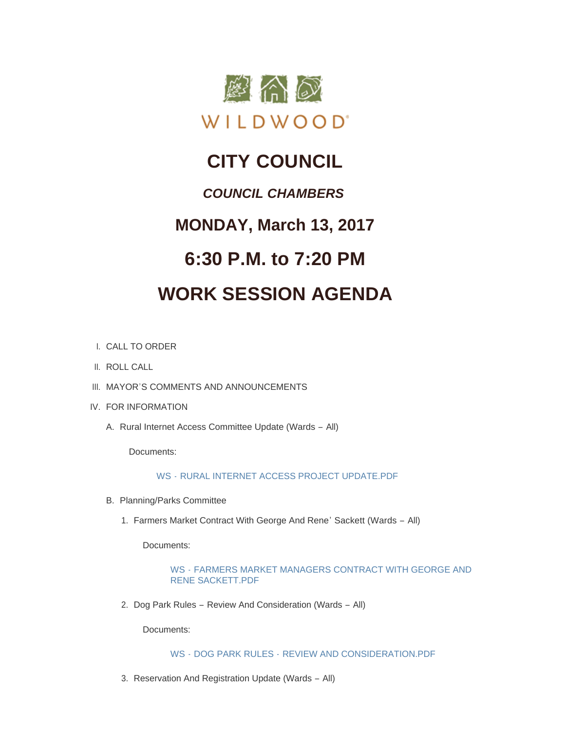

# **CITY COUNCIL**

### *COUNCIL CHAMBERS*

## **MONDAY, March 13, 2017**

## **6:30 P.M. to 7:20 PM**

# **WORK SESSION AGENDA**

- CALL TO ORDER I.
- II. ROLL CALL
- III. MAYOR'S COMMENTS AND ANNOUNCEMENTS
- IV. FOR INFORMATION
	- A. Rural Internet Access Committee Update (Wards All)

Documents:

WS - [RURAL INTERNET ACCESS PROJECT UPDATE.PDF](http://cityofwildwood.com/AgendaCenter/ViewFile/Item/10082?fileID=14423)

- B. Planning/Parks Committee
	- 1. Farmers Market Contract With George And Rene' Sackett (Wards All)

Documents:

#### WS - [FARMERS MARKET MANAGERS CONTRACT WITH GEORGE AND](http://cityofwildwood.com/AgendaCenter/ViewFile/Item/10084?fileID=14424)  RENE SACKETT.PDF

2. Dog Park Rules - Review And Consideration (Wards - All)

Documents:

WS - DOG PARK RULES - [REVIEW AND CONSIDERATION.PDF](http://cityofwildwood.com/AgendaCenter/ViewFile/Item/10085?fileID=14425)

3. Reservation And Registration Update (Wards - All)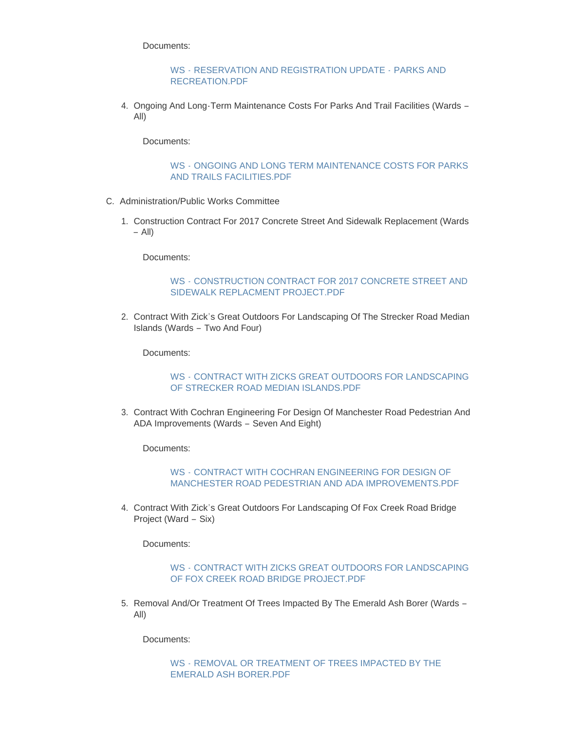Documents:

#### WS - [RESERVATION AND REGISTRATION UPDATE -](http://cityofwildwood.com/AgendaCenter/ViewFile/Item/10086?fileID=14426) PARKS AND RECREATION.PDF

4. Ongoing And Long-Term Maintenance Costs For Parks And Trail Facilities (Wards -All)

Documents:

#### WS - [ONGOING AND LONG TERM MAINTENANCE COSTS FOR PARKS](http://cityofwildwood.com/AgendaCenter/ViewFile/Item/10087?fileID=14427)  AND TRAILS FACILITIES.PDF

- C. Administration/Public Works Committee
	- 1. Construction Contract For 2017 Concrete Street And Sidewalk Replacement (Wards – All)

Documents:

#### WS - [CONSTRUCTION CONTRACT FOR 2017 CONCRETE STREET AND](http://cityofwildwood.com/AgendaCenter/ViewFile/Item/10089?fileID=14428)  SIDEWALK REPLACMENT PROJECT.PDF

2. Contract With Zick's Great Outdoors For Landscaping Of The Strecker Road Median Islands (Wards – Two And Four)

Documents:

#### WS - [CONTRACT WITH ZICKS GREAT OUTDOORS FOR LANDSCAPING](http://cityofwildwood.com/AgendaCenter/ViewFile/Item/10090?fileID=14429)  OF STRECKER ROAD MEDIAN ISLANDS.PDF

3. Contract With Cochran Engineering For Design Of Manchester Road Pedestrian And ADA Improvements (Wards – Seven And Eight)

Documents:

#### WS - CONTRACT WITH COCHRAN ENGINEERING FOR DESIGN OF [MANCHESTER ROAD PEDESTRIAN AND ADA IMPROVEMENTS.PDF](http://cityofwildwood.com/AgendaCenter/ViewFile/Item/10091?fileID=14430)

4. Contract With Zick's Great Outdoors For Landscaping Of Fox Creek Road Bridge Project (Ward – Six)

Documents:

#### WS - [CONTRACT WITH ZICKS GREAT OUTDOORS FOR LANDSCAPING](http://cityofwildwood.com/AgendaCenter/ViewFile/Item/10092?fileID=14431)  OF FOX CREEK ROAD BRIDGE PROJECT.PDF

5. Removal And/Or Treatment Of Trees Impacted By The Emerald Ash Borer (Wards – All)

Documents:

WS - [REMOVAL OR TREATMENT OF TREES IMPACTED BY THE](http://cityofwildwood.com/AgendaCenter/ViewFile/Item/10093?fileID=14432)  EMERALD ASH BORER.PDF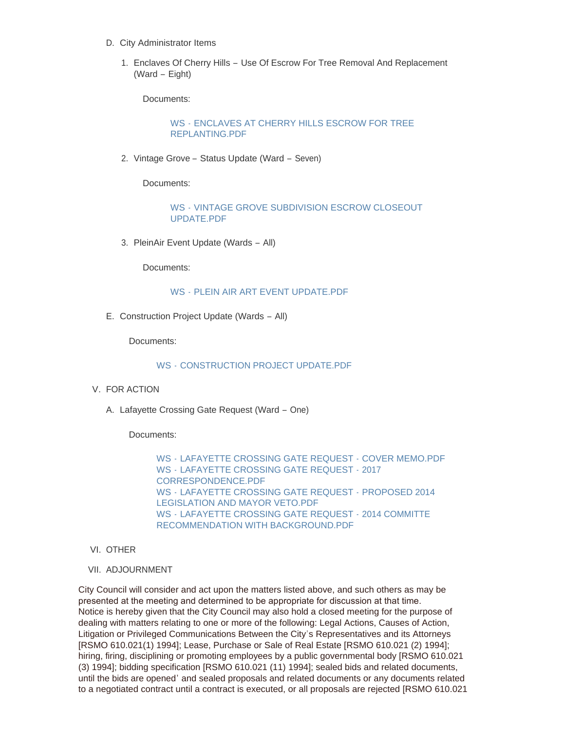- D. City Administrator Items
	- 1. Enclaves Of Cherry Hills Use Of Escrow For Tree Removal And Replacement (Ward – Eight)

Documents:

WS - [ENCLAVES AT CHERRY HILLS ESCROW FOR TREE](http://cityofwildwood.com/AgendaCenter/ViewFile/Item/10095?fileID=14433)  REPLANTING.PDF

2. Vintage Grove - Status Update (Ward - Seven)

Documents:

WS - [VINTAGE GROVE SUBDIVISION ESCROW CLOSEOUT](http://cityofwildwood.com/AgendaCenter/ViewFile/Item/10096?fileID=14434)  UPDATE.PDF

3. PleinAir Event Update (Wards - All)

Documents:

#### WS - [PLEIN AIR ART EVENT UPDATE.PDF](http://cityofwildwood.com/AgendaCenter/ViewFile/Item/10097?fileID=14435)

E. Construction Project Update (Wards - All)

Documents:

#### WS - [CONSTRUCTION PROJECT UPDATE.PDF](http://cityofwildwood.com/AgendaCenter/ViewFile/Item/10098?fileID=14436)

- V. FOR ACTION
	- A. Lafayette Crossing Gate Request (Ward One)

Documents:

WS - [LAFAYETTE CROSSING GATE REQUEST -](http://cityofwildwood.com/AgendaCenter/ViewFile/Item/10100?fileID=14440) COVER MEMO.PDF WS - [LAFAYETTE CROSSING GATE REQUEST -](http://cityofwildwood.com/AgendaCenter/ViewFile/Item/10100?fileID=14439) 2017 CORRESPONDENCE.PDF WS - [LAFAYETTE CROSSING GATE REQUEST -](http://cityofwildwood.com/AgendaCenter/ViewFile/Item/10100?fileID=14438) PROPOSED 2014 LEGISLATION AND MAYOR VETO.PDF WS - LAFAYETTE CROSSING GATE REQUEST - 2014 COMMITTE [RECOMMENDATION WITH BACKGROUND.PDF](http://cityofwildwood.com/AgendaCenter/ViewFile/Item/10100?fileID=14437)

- VI. OTHER
- VII. ADJOURNMENT

City Council will consider and act upon the matters listed above, and such others as may be presented at the meeting and determined to be appropriate for discussion at that time. Notice is hereby given that the City Council may also hold a closed meeting for the purpose of dealing with matters relating to one or more of the following: Legal Actions, Causes of Action, Litigation or Privileged Communications Between the City's Representatives and its Attorneys [RSMO 610.021(1) 1994]; Lease, Purchase or Sale of Real Estate [RSMO 610.021 (2) 1994]; hiring, firing, disciplining or promoting employees by a public governmental body [RSMO 610.021 (3) 1994]; bidding specification [RSMO 610.021 (11) 1994]; sealed bids and related documents, until the bids are opened' and sealed proposals and related documents or any documents related to a negotiated contract until a contract is executed, or all proposals are rejected [RSMO 610.021